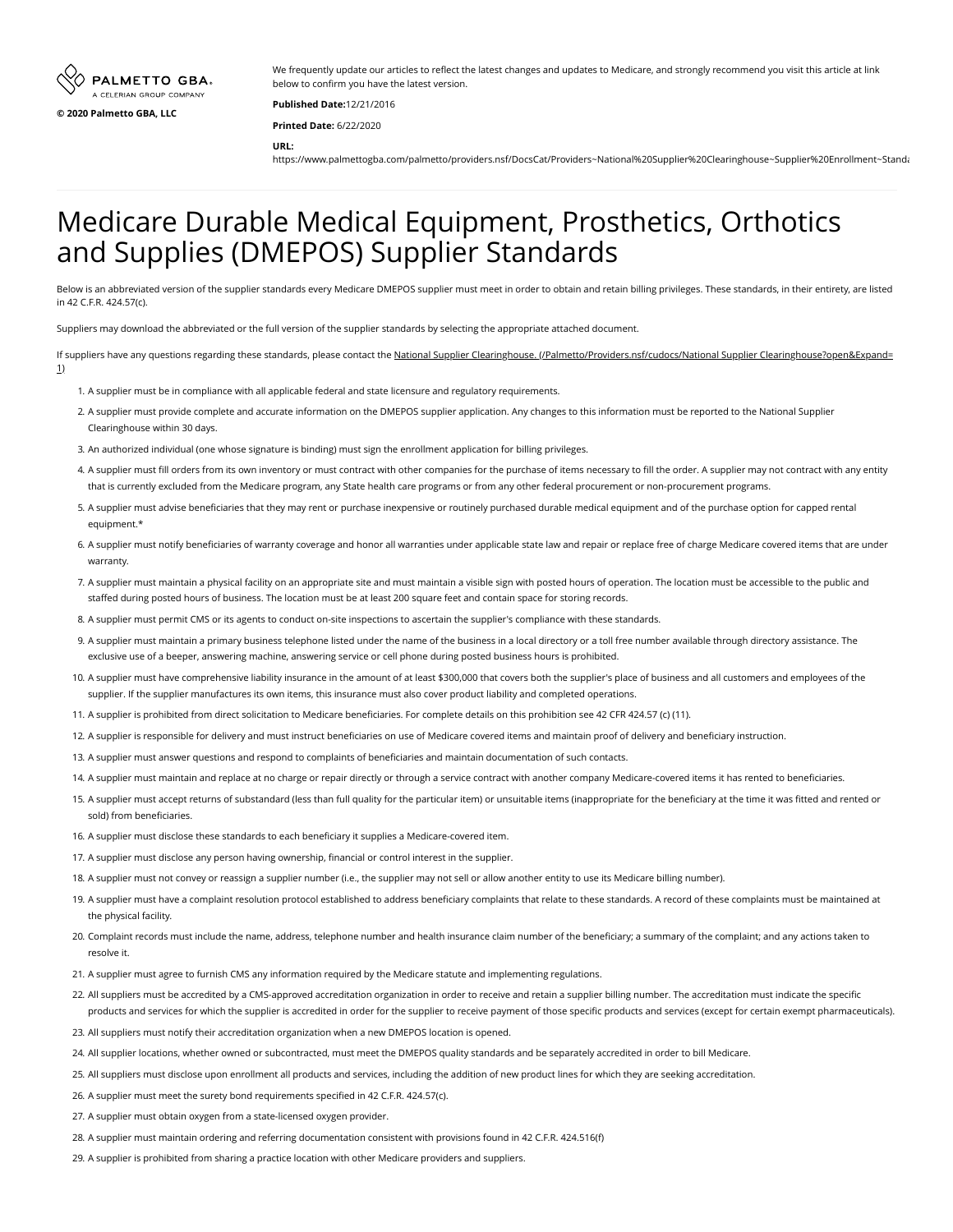

We frequently update our articles to reflect the latest changes and updates to Medicare, and strongly recommend you visit this article at link below to confirm you have the latest version.

**Published Date:**12/21/2016 **Printed Date:** 6/22/2020

**URL:**

https://www.palmettogba.com/palmetto/providers.nsf/DocsCat/Providers~National%20Supplier%20Clearinghouse~Supplier%20Enrollment~Standa

## Medicare Durable Medical Equipment, Prosthetics, Orthotics and Supplies (DMEPOS) Supplier Standards

Below is an abbreviated version of the supplier standards every Medicare DMEPOS supplier must meet in order to obtain and retain billing privileges. These standards, in their entirety, are listed in 42 C.F.R. 424.57(c).

Suppliers may download the abbreviated or the full version of the supplier standards by selecting the appropriate attached document.

- [If suppliers have any questions regarding these standards, please contact the National Supplier Clearinghouse. \(/Palmetto/Providers.nsf/cudocs/National Supplier Clearinghouse?open&Expand=](https://www.palmettogba.com/Palmetto/Providers.nsf/cudocs/National%20Supplier%20Clearinghouse?open&Expand=1) 1)
	- 1. A supplier must be in compliance with all applicable federal and state licensure and regulatory requirements.
	- 2. A supplier must provide complete and accurate information on the DMEPOS supplier application. Any changes to this information must be reported to the National Supplier Clearinghouse within 30 days.
	- 3. An authorized individual (one whose signature is binding) must sign the enrollment application for billing privileges.
	- 4. A supplier must fill orders from its own inventory or must contract with other companies for the purchase of items necessary to fill the order. A supplier may not contract with any entity that is currently excluded from the Medicare program, any State health care programs or from any other federal procurement or non-procurement programs.
	- 5. A supplier must advise beneficiaries that they may rent or purchase inexpensive or routinely purchased durable medical equipment and of the purchase option for capped rental equipment.\*
	- 6. A supplier must notify beneficiaries of warranty coverage and honor all warranties under applicable state law and repair or replace free of charge Medicare covered items that are under warranty.
	- 7. A supplier must maintain a physical facility on an appropriate site and must maintain a visible sign with posted hours of operation. The location must be accessible to the public and staffed during posted hours of business. The location must be at least 200 square feet and contain space for storing records.
	- 8. A supplier must permit CMS or its agents to conduct on-site inspections to ascertain the supplier's compliance with these standards.
	- 9. A supplier must maintain a primary business telephone listed under the name of the business in a local directory or a toll free number available through directory assistance. The exclusive use of a beeper, answering machine, answering service or cell phone during posted business hours is prohibited.
	- 10. A supplier must have comprehensive liability insurance in the amount of at least \$300,000 that covers both the supplier's place of business and all customers and employees of the supplier. If the supplier manufactures its own items, this insurance must also cover product liability and completed operations.
	- 11. A supplier is prohibited from direct solicitation to Medicare beneficiaries. For complete details on this prohibition see 42 CFR 424.57 (c) (11).
	- 12. A supplier is responsible for delivery and must instruct beneficiaries on use of Medicare covered items and maintain proof of delivery and beneficiary instruction.
	- 13. A supplier must answer questions and respond to complaints of beneficiaries and maintain documentation of such contacts.
	- 14. A supplier must maintain and replace at no charge or repair directly or through a service contract with another company Medicare-covered items it has rented to beneficiaries.
	- 15. A supplier must accept returns of substandard (less than full quality for the particular item) or unsuitable items (inappropriate for the beneficiary at the time it was fitted and rented or sold) from beneficiaries.
	- 16. A supplier must disclose these standards to each beneficiary it supplies a Medicare-covered item.
	- 17. A supplier must disclose any person having ownership, financial or control interest in the supplier.

18. A supplier must not convey or reassign a supplier number (i.e., the supplier may not sell or allow another entity to use its Medicare billing number).

- 19. A supplier must have a complaint resolution protocol established to address beneficiary complaints that relate to these standards. A record of these complaints must be maintained at the physical facility.
- 20. Complaint records must include the name, address, telephone number and health insurance claim number of the beneficiary; a summary of the complaint; and any actions taken to resolve it.
- 21. A supplier must agree to furnish CMS any information required by the Medicare statute and implementing regulations.
- 22. All suppliers must be accredited by a CMS-approved accreditation organization in order to receive and retain a supplier billing number. The accreditation must indicate the specific products and services for which the supplier is accredited in order for the supplier to receive payment of those specific products and services (except for certain exempt pharmaceuticals).
- 23. All suppliers must notify their accreditation organization when a new DMEPOS location is opened.
- 24. All supplier locations, whether owned or subcontracted, must meet the DMEPOS quality standards and be separately accredited in order to bill Medicare.
- 25. All suppliers must disclose upon enrollment all products and services, including the addition of new product lines for which they are seeking accreditation.
- 26. A supplier must meet the surety bond requirements specified in 42 C.F.R. 424.57(c).
- 27. A supplier must obtain oxygen from a state-licensed oxygen provider.
- 28. A supplier must maintain ordering and referring documentation consistent with provisions found in 42 C.F.R. 424.516(f)
- 29. A supplier is prohibited from sharing a practice location with other Medicare providers and suppliers.